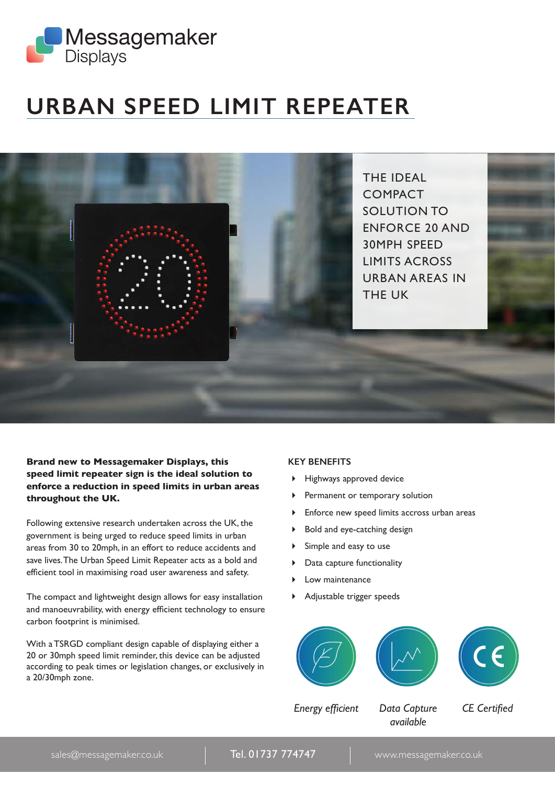

# **URBAN SPEED LIMIT REPEATER**

THE IDEAL COMPACT SOLUTION TO ENFORCE 20 AND 30MPH SPEED LIMITS ACROSS URBAN AREAS IN THE UK

**Brand new to Messagemaker Displays, this speed limit repeater sign is the ideal solution to enforce a reduction in speed limits in urban areas throughout the UK.** 

Following extensive research undertaken across the UK, the government is being urged to reduce speed limits in urban areas from 30 to 20mph, in an effort to reduce accidents and save lives. The Urban Speed Limit Repeater acts as a bold and efficient tool in maximising road user awareness and safety.

The compact and lightweight design allows for easy installation and manoeuvrability, with energy efficient technology to ensure carbon footprint is minimised.

With a TSRGD compliant design capable of displaying either a 20 or 30mph speed limit reminder, this device can be adjusted according to peak times or legislation changes, or exclusively in a 20/30mph zone.

#### **KEY BENEFITS**

- Highways approved device
- Permanent or temporary solution
- Enforce new speed limits accross urban areas
- ▶ Bold and eye-catching design
- Simple and easy to use
- **Data capture functionality**
- Low maintenance
- Adjustable trigger speeds







*Energy efficient Data Capture CE Certified*

*available*